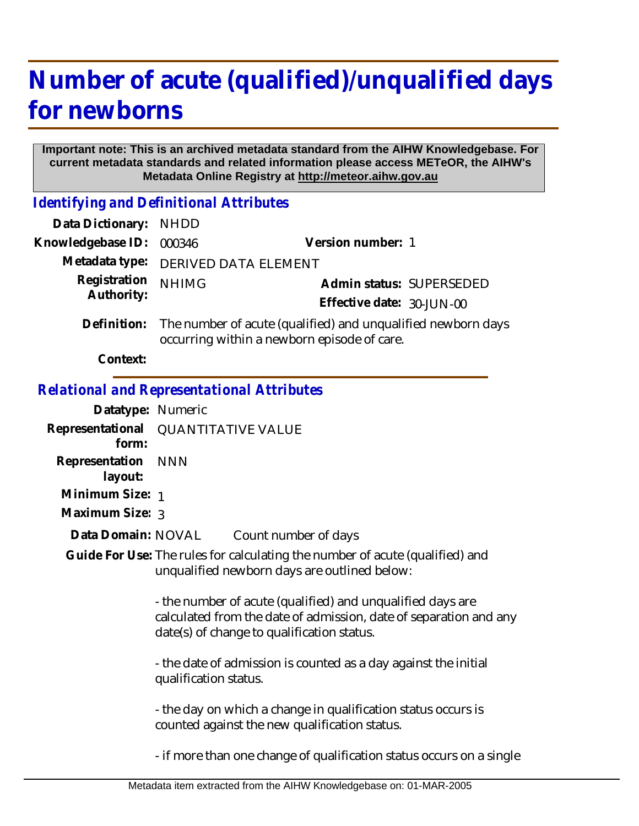# **Number of acute (qualified)/unqualified days for newborns**

#### **Important note: This is an archived metadata standard from the AIHW Knowledgebase. For current metadata standards and related information please access METeOR, the AIHW's Metadata Online Registry at http://meteor.aihw.gov.au**

*Identifying and Definitional Attributes*

| Data Dictionary: NHDD |                                                                                                                         |                           |                          |
|-----------------------|-------------------------------------------------------------------------------------------------------------------------|---------------------------|--------------------------|
| Knowledgebase ID:     | 000346                                                                                                                  | Version number: 1         |                          |
| Metadata type:        | <b>DERIVED DATA ELEMENT</b>                                                                                             |                           |                          |
| Registration          | <b>NHIMG</b>                                                                                                            |                           | Admin status: SUPERSEDED |
| Authority:            |                                                                                                                         | Effective date: 30-JUN-00 |                          |
|                       | Definition: The number of acute (qualified) and unqualified newborn days<br>occurring within a newborn episode of care. |                           |                          |
|                       |                                                                                                                         |                           |                          |

**Context:**

### *Relational and Representational Attributes*

| Datatype: Numeric                                                                        |                                                                                                                                                                               |  |
|------------------------------------------------------------------------------------------|-------------------------------------------------------------------------------------------------------------------------------------------------------------------------------|--|
| form:                                                                                    | Representational QUANTITATIVE VALUE                                                                                                                                           |  |
| Representation<br>layout:                                                                | <b>NNN</b>                                                                                                                                                                    |  |
| Minimum Size: 1                                                                          |                                                                                                                                                                               |  |
| Maximum Size: 3                                                                          |                                                                                                                                                                               |  |
| Data Domain: NOVAL                                                                       | Count number of days                                                                                                                                                          |  |
|                                                                                          | Guide For Use: The rules for calculating the number of acute (qualified) and<br>unqualified newborn days are outlined below:                                                  |  |
|                                                                                          | - the number of acute (qualified) and unqualified days are<br>calculated from the date of admission, date of separation and any<br>date(s) of change to qualification status. |  |
| - the date of admission is counted as a day against the initial<br>qualification status. |                                                                                                                                                                               |  |
|                                                                                          | - the day on which a change in qualification status occurs is<br>counted against the new qualification status.                                                                |  |
|                                                                                          | - if more than one change of qualification status occurs on a single                                                                                                          |  |